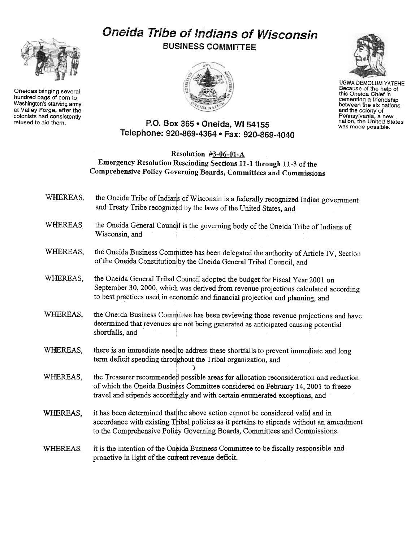## Oneida Tribe of Indians of Wisconsin BUSINESS COMMITTEE





UGWA DEMOLUM YATEHE Because of the help of this Oneida Chief in cementing a friendsh between the six nation and the colony of Pennsylvania, a new nation, the United States was made possible.



## Resolution #3-06-01-A Emergency Resolution Rescinding Sections 11-1 through 11-3 of the Comprehensive Policy Governing Boards, Committees and Commissions

- WHEREAS, the Oneida Tribe of Indians of Wisconsin is a federally recognized Indian government and Treaty Tribe recognized by the laws of the United States, and
- WHEREAS. the Oneida General Council is the governing body of the Oneida Tribe of Indians of Wisconsin, and
- WHEREAS, the Oneida Business Committee has been delegated the authority of Article IV, Section of the Oneida Constitution by the Oneida General Tribal Council, and
- WHEREAS, the Oneida General Tribal Council adopted the budget for Fiscal Year 2001 on September 30, 2000, which was derived from revenue projections calculated according to best practices used in economic and financial projection and planning, and
- WHEREAS, the Oneida Business Committee has been reviewing those revenue projections and have determined that revenues are not being generated as anticipated causing potential shortfalls, and
- WHEREAS, there is an immediate need to address these shortfalls to prevent immediate and long term deficit spending throughout the Tribal organization, and

, )

- WHEREAS, the Treasurer recommended possible areas for allocation reconsideration and reduction of which the Oneida Business Committee considered on February 14, 2001 to freeze travel and stipends accordingly and with certain enumerated exceptions, and
- WHEREAS, it has been determined that the above action cannot be considered valid and in accordance with existing Tribal policies as it pertains to stipends without an amendment to the Comprehensive Policy Governing Boards, Committees and Commissions.
- it is the intention of the Oneida Business Committee to be fiscally responsible and WHEREAS, proactive in light of the current revenue deficit.



Oneidas bringing several hundred bags of corn to Washington's starving army at Valley Forge, after the colonists had consistently<br>refused to aid them.